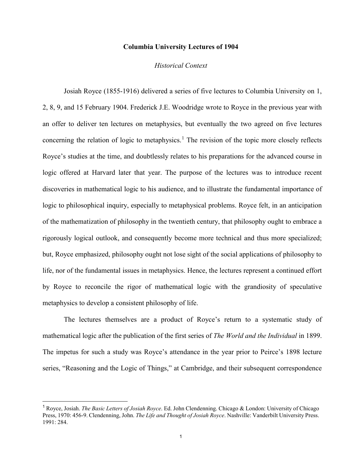## **Columbia University Lectures of 1904**

## *Historical Context*

Josiah Royce (1855-1916) delivered a series of five lectures to Columbia University on 1, 2, 8, 9, and 15 February 1904. Frederick J.E. Woodridge wrote to Royce in the previous year with an offer to deliver ten lectures on metaphysics, but eventually the two agreed on five lectures concerning the relation of logic to metaphysics.<sup>[1](#page-0-0)</sup> The revision of the topic more closely reflects Royce's studies at the time, and doubtlessly relates to his preparations for the advanced course in logic offered at Harvard later that year. The purpose of the lectures was to introduce recent discoveries in mathematical logic to his audience, and to illustrate the fundamental importance of logic to philosophical inquiry, especially to metaphysical problems. Royce felt, in an anticipation of the mathematization of philosophy in the twentieth century, that philosophy ought to embrace a rigorously logical outlook, and consequently become more technical and thus more specialized; but, Royce emphasized, philosophy ought not lose sight of the social applications of philosophy to life, nor of the fundamental issues in metaphysics. Hence, the lectures represent a continued effort by Royce to reconcile the rigor of mathematical logic with the grandiosity of speculative metaphysics to develop a consistent philosophy of life.

The lectures themselves are a product of Royce's return to a systematic study of mathematical logic after the publication of the first series of *The World and the Individual* in 1899. The impetus for such a study was Royce's attendance in the year prior to Peirce's 1898 lecture series, "Reasoning and the Logic of Things," at Cambridge, and their subsequent correspondence

<span id="page-0-0"></span> <sup>1</sup> Royce, Josiah. *The Basic Letters of Josiah Royce*. Ed. John Clendenning. Chicago & London: University of Chicago Press, 1970: 456-9. Clendenning, John. *The Life and Thought of Josiah Royce*. Nashville: Vanderbilt University Press. 1991: 284.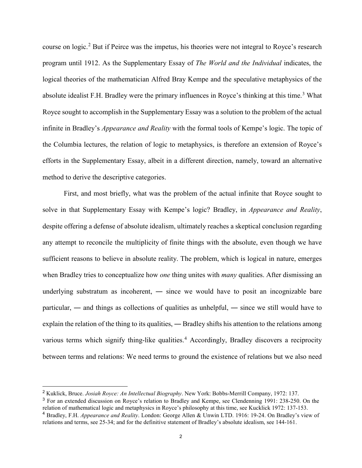course on logic.[2](#page-1-0) But if Peirce was the impetus, his theories were not integral to Royce's research program until 1912. As the Supplementary Essay of *The World and the Individual* indicates, the logical theories of the mathematician Alfred Bray Kempe and the speculative metaphysics of the absolute idealist F.H. Bradley were the primary influences in Royce's thinking at this time.<sup>[3](#page-1-1)</sup> What Royce sought to accomplish in the Supplementary Essay was a solution to the problem of the actual infinite in Bradley's *Appearance and Reality* with the formal tools of Kempe's logic. The topic of the Columbia lectures, the relation of logic to metaphysics, is therefore an extension of Royce's efforts in the Supplementary Essay, albeit in a different direction, namely, toward an alternative method to derive the descriptive categories.

First, and most briefly, what was the problem of the actual infinite that Royce sought to solve in that Supplementary Essay with Kempe's logic? Bradley, in *Appearance and Reality*, despite offering a defense of absolute idealism, ultimately reaches a skeptical conclusion regarding any attempt to reconcile the multiplicity of finite things with the absolute, even though we have sufficient reasons to believe in absolute reality. The problem, which is logical in nature, emerges when Bradley tries to conceptualize how *one* thing unites with *many* qualities. After dismissing an underlying substratum as incoherent, ― since we would have to posit an incognizable bare particular, ― and things as collections of qualities as unhelpful, ― since we still would have to explain the relation of the thing to its qualities, ― Bradley shifts his attention to the relations among various terms which signify thing-like qualities.<sup>[4](#page-1-2)</sup> Accordingly, Bradley discovers a reciprocity between terms and relations: We need terms to ground the existence of relations but we also need

<span id="page-1-0"></span> <sup>2</sup> Kuklick, Bruce. *Josiah Royce: An Intellectual Biography*. New York: Bobbs-Merrill Company, 1972: 137.

<span id="page-1-1"></span><sup>3</sup> For an extended discussion on Royce's relation to Bradley and Kempe, see Clendenning 1991: 238-250. On the relation of mathematical logic and metaphysics in Royce's philosophy at this time, see Kucklick 1972: 137-153. <sup>4</sup> Bradley, F.H. *Appearance and Reality*. London: George Allen & Unwin LTD. 1916: 19-24. On Bradley's view of

<span id="page-1-2"></span>relations and terms, see 25-34; and for the definitive statement of Bradley's absolute idealism, see 144-161.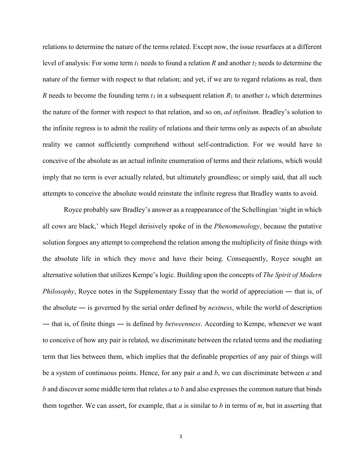relations to determine the nature of the terms related. Except now, the issue resurfaces at a different level of analysis: For some term *t*<sup>1</sup> needs to found a relation *R* and another *t*<sup>2</sup> needs to determine the nature of the former with respect to that relation; and yet, if we are to regard relations as real, then *R* needs to become the founding term  $t_3$  in a subsequent relation  $R_1$  to another  $t_4$  which determines the nature of the former with respect to that relation, and so on, *ad infinitum*. Bradley's solution to the infinite regress is to admit the reality of relations and their terms only as aspects of an absolute reality we cannot sufficiently comprehend without self-contradiction. For we would have to conceive of the absolute as an actual infinite enumeration of terms and their relations, which would imply that no term is ever actually related, but ultimately groundless; or simply said, that all such attempts to conceive the absolute would reinstate the infinite regress that Bradley wants to avoid.

Royce probably saw Bradley's answer as a reappearance of the Schellingian 'night in which all cows are black,' which Hegel derisively spoke of in the *Phenomenology*, because the putative solution forgoes any attempt to comprehend the relation among the multiplicity of finite things with the absolute life in which they move and have their being. Consequently, Royce sought an alternative solution that utilizes Kempe's logic. Building upon the concepts of *The Spirit of Modern Philosophy*, Royce notes in the Supplementary Essay that the world of appreciation — that is, of the absolute ― is governed by the serial order defined by *nextness*, while the world of description ― that is, of finite things ― is defined by *betweenness*. According to Kempe, whenever we want to conceive of how any pair is related, we discriminate between the related terms and the mediating term that lies between them, which implies that the definable properties of any pair of things will be a system of continuous points. Hence, for any pair *a* and *b*, we can discriminate between *a* and *b* and discover some middle term that relates *a* to *b* and also expresses the common nature that binds them together. We can assert, for example, that *a* is similar to *b* in terms of *m*, but in asserting that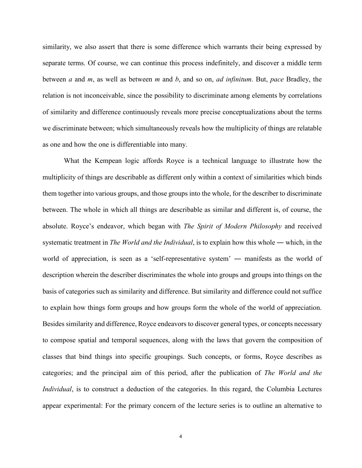similarity, we also assert that there is some difference which warrants their being expressed by separate terms. Of course, we can continue this process indefinitely, and discover a middle term between *a* and *m*, as well as between *m* and *b*, and so on, *ad infinitum*. But, *pace* Bradley, the relation is not inconceivable, since the possibility to discriminate among elements by correlations of similarity and difference continuously reveals more precise conceptualizations about the terms we discriminate between; which simultaneously reveals how the multiplicity of things are relatable as one and how the one is differentiable into many.

What the Kempean logic affords Royce is a technical language to illustrate how the multiplicity of things are describable as different only within a context of similarities which binds them together into various groups, and those groups into the whole, for the describer to discriminate between. The whole in which all things are describable as similar and different is, of course, the absolute. Royce's endeavor, which began with *The Spirit of Modern Philosophy* and received systematic treatment in *The World and the Individual*, is to explain how this whole ― which, in the world of appreciation, is seen as a 'self-representative system' — manifests as the world of description wherein the describer discriminates the whole into groups and groups into things on the basis of categories such as similarity and difference. But similarity and difference could not suffice to explain how things form groups and how groups form the whole of the world of appreciation. Besides similarity and difference, Royce endeavors to discover general types, or concepts necessary to compose spatial and temporal sequences, along with the laws that govern the composition of classes that bind things into specific groupings. Such concepts, or forms, Royce describes as categories; and the principal aim of this period, after the publication of *The World and the Individual*, is to construct a deduction of the categories. In this regard, the Columbia Lectures appear experimental: For the primary concern of the lecture series is to outline an alternative to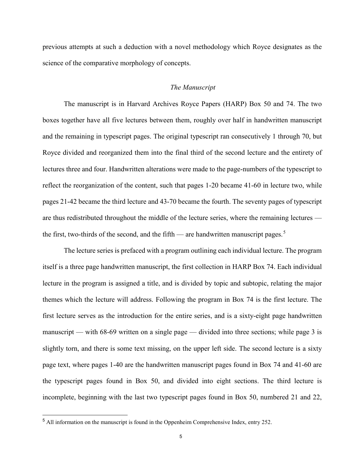previous attempts at such a deduction with a novel methodology which Royce designates as the science of the comparative morphology of concepts.

## *The Manuscript*

The manuscript is in Harvard Archives Royce Papers (HARP) Box 50 and 74. The two boxes together have all five lectures between them, roughly over half in handwritten manuscript and the remaining in typescript pages. The original typescript ran consecutively 1 through 70, but Royce divided and reorganized them into the final third of the second lecture and the entirety of lectures three and four. Handwritten alterations were made to the page-numbers of the typescript to reflect the reorganization of the content, such that pages 1-20 became 41-60 in lecture two, while pages 21-42 became the third lecture and 43-70 became the fourth. The seventy pages of typescript are thus redistributed throughout the middle of the lecture series, where the remaining lectures — the first, two-thirds of the second, and the fifth — are handwritten manuscript pages.<sup>[5](#page-4-0)</sup>

The lecture series is prefaced with a program outlining each individual lecture. The program itself is a three page handwritten manuscript, the first collection in HARP Box 74. Each individual lecture in the program is assigned a title, and is divided by topic and subtopic, relating the major themes which the lecture will address. Following the program in Box 74 is the first lecture. The first lecture serves as the introduction for the entire series, and is a sixty-eight page handwritten manuscript — with 68-69 written on a single page — divided into three sections; while page 3 is slightly torn, and there is some text missing, on the upper left side. The second lecture is a sixty page text, where pages 1-40 are the handwritten manuscript pages found in Box 74 and 41-60 are the typescript pages found in Box 50, and divided into eight sections. The third lecture is incomplete, beginning with the last two typescript pages found in Box 50, numbered 21 and 22,

<span id="page-4-0"></span> <sup>5</sup> All information on the manuscript is found in the Oppenheim Comprehensive Index, entry 252.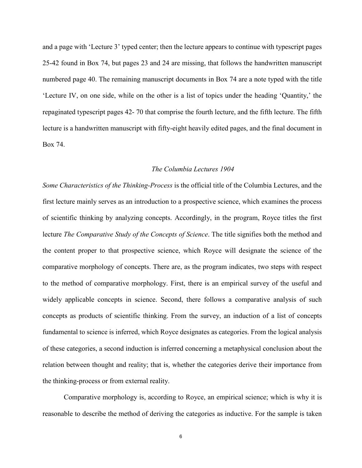and a page with 'Lecture 3' typed center; then the lecture appears to continue with typescript pages 25-42 found in Box 74, but pages 23 and 24 are missing, that follows the handwritten manuscript numbered page 40. The remaining manuscript documents in Box 74 are a note typed with the title 'Lecture IV, on one side, while on the other is a list of topics under the heading 'Quantity,' the repaginated typescript pages 42- 70 that comprise the fourth lecture, and the fifth lecture. The fifth lecture is a handwritten manuscript with fifty-eight heavily edited pages, and the final document in Box 74.

## *The Columbia Lectures 1904*

*Some Characteristics of the Thinking-Process* is the official title of the Columbia Lectures, and the first lecture mainly serves as an introduction to a prospective science, which examines the process of scientific thinking by analyzing concepts. Accordingly, in the program, Royce titles the first lecture *The Comparative Study of the Concepts of Science*. The title signifies both the method and the content proper to that prospective science, which Royce will designate the science of the comparative morphology of concepts. There are, as the program indicates, two steps with respect to the method of comparative morphology. First, there is an empirical survey of the useful and widely applicable concepts in science. Second, there follows a comparative analysis of such concepts as products of scientific thinking. From the survey, an induction of a list of concepts fundamental to science is inferred, which Royce designates as categories. From the logical analysis of these categories, a second induction is inferred concerning a metaphysical conclusion about the relation between thought and reality; that is, whether the categories derive their importance from the thinking-process or from external reality.

Comparative morphology is, according to Royce, an empirical science; which is why it is reasonable to describe the method of deriving the categories as inductive. For the sample is taken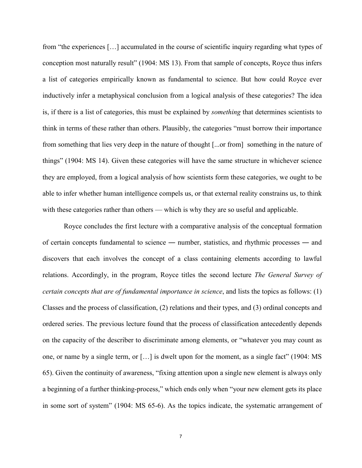from "the experiences […] accumulated in the course of scientific inquiry regarding what types of conception most naturally result" (1904: MS 13). From that sample of concepts, Royce thus infers a list of categories empirically known as fundamental to science. But how could Royce ever inductively infer a metaphysical conclusion from a logical analysis of these categories? The idea is, if there is a list of categories, this must be explained by *something* that determines scientists to think in terms of these rather than others. Plausibly, the categories "must borrow their importance from something that lies very deep in the nature of thought [...or from] something in the nature of things" (1904: MS 14). Given these categories will have the same structure in whichever science they are employed, from a logical analysis of how scientists form these categories, we ought to be able to infer whether human intelligence compels us, or that external reality constrains us, to think with these categories rather than others — which is why they are so useful and applicable.

Royce concludes the first lecture with a comparative analysis of the conceptual formation of certain concepts fundamental to science ― number, statistics, and rhythmic processes ― and discovers that each involves the concept of a class containing elements according to lawful relations. Accordingly, in the program, Royce titles the second lecture *The General Survey of certain concepts that are of fundamental importance in science*, and lists the topics as follows: (1) Classes and the process of classification, (2) relations and their types, and (3) ordinal concepts and ordered series. The previous lecture found that the process of classification antecedently depends on the capacity of the describer to discriminate among elements, or "whatever you may count as one, or name by a single term, or […] is dwelt upon for the moment, as a single fact" (1904: MS 65). Given the continuity of awareness, "fixing attention upon a single new element is always only a beginning of a further thinking-process," which ends only when "your new element gets its place in some sort of system" (1904: MS 65-6). As the topics indicate, the systematic arrangement of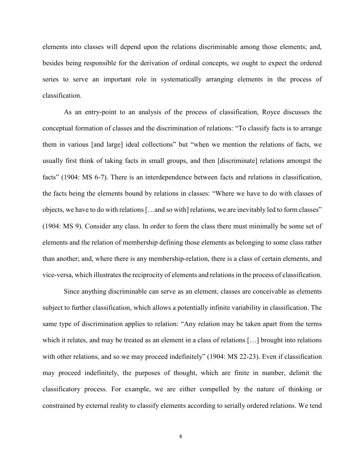elements into classes will depend upon the relations discriminable among those elements; and, besides being responsible for the derivation of ordinal concepts, we ought to expect the ordered series to serve an important role in systematically arranging elements in the process of classification.

As an entry-point to an analysis of the process of classification, Royce discusses the conceptual formation of classes and the discrimination of relations: "To classify facts is to arrange them in various [and large] ideal collections" but "when we mention the relations of facts, we usually first think of taking facts in small groups, and then [discriminate] relations amongst the facts" (1904: MS 6-7). There is an interdependence between facts and relations in classification, the facts being the elements bound by relations in classes: "Where we have to do with classes of objects, we have to do with relations […and so with] relations, we are inevitably led to form classes" (1904: MS 9). Consider any class. In order to form the class there must minimally be some set of elements and the relation of membership defining those elements as belonging to some class rather than another; and, where there is any membership-relation, there is a class of certain elements, and vice-versa, which illustrates the reciprocity of elements and relations in the process of classification.

Since anything discriminable can serve as an element, classes are conceivable as elements subject to further classification, which allows a potentially infinite variability in classification. The same type of discrimination applies to relation: "Any relation may be taken apart from the terms which it relates, and may be treated as an element in a class of relations […] brought into relations with other relations, and so we may proceed indefinitely" (1904: MS 22-23). Even if classification may proceed indefinitely, the purposes of thought, which are finite in number, delimit the classificatory process. For example, we are either compelled by the nature of thinking or constrained by external reality to classify elements according to serially ordered relations. We tend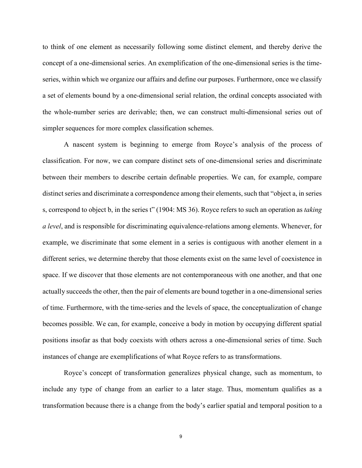to think of one element as necessarily following some distinct element, and thereby derive the concept of a one-dimensional series. An exemplification of the one-dimensional series is the timeseries, within which we organize our affairs and define our purposes. Furthermore, once we classify a set of elements bound by a one-dimensional serial relation, the ordinal concepts associated with the whole-number series are derivable; then, we can construct multi-dimensional series out of simpler sequences for more complex classification schemes.

A nascent system is beginning to emerge from Royce's analysis of the process of classification. For now, we can compare distinct sets of one-dimensional series and discriminate between their members to describe certain definable properties. We can, for example, compare distinct series and discriminate a correspondence among their elements, such that "object a, in series s, correspond to object b, in the series t" (1904: MS 36). Royce refers to such an operation as *taking a level*, and is responsible for discriminating equivalence-relations among elements. Whenever, for example, we discriminate that some element in a series is contiguous with another element in a different series, we determine thereby that those elements exist on the same level of coexistence in space. If we discover that those elements are not contemporaneous with one another, and that one actually succeeds the other, then the pair of elements are bound together in a one-dimensional series of time. Furthermore, with the time-series and the levels of space, the conceptualization of change becomes possible. We can, for example, conceive a body in motion by occupying different spatial positions insofar as that body coexists with others across a one-dimensional series of time. Such instances of change are exemplifications of what Royce refers to as transformations.

Royce's concept of transformation generalizes physical change, such as momentum, to include any type of change from an earlier to a later stage. Thus, momentum qualifies as a transformation because there is a change from the body's earlier spatial and temporal position to a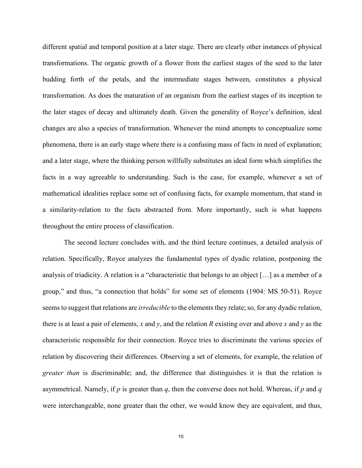different spatial and temporal position at a later stage. There are clearly other instances of physical transformations. The organic growth of a flower from the earliest stages of the seed to the later budding forth of the petals, and the intermediate stages between, constitutes a physical transformation. As does the maturation of an organism from the earliest stages of its inception to the later stages of decay and ultimately death. Given the generality of Royce's definition, ideal changes are also a species of transformation. Whenever the mind attempts to conceptualize some phenomena, there is an early stage where there is a confusing mass of facts in need of explanation; and a later stage, where the thinking person willfully substitutes an ideal form which simplifies the facts in a way agreeable to understanding. Such is the case, for example, whenever a set of mathematical idealities replace some set of confusing facts, for example momentum, that stand in a similarity-relation to the facts abstracted from. More importantly, such is what happens throughout the entire process of classification.

The second lecture concludes with, and the third lecture continues, a detailed analysis of relation. Specifically, Royce analyzes the fundamental types of dyadic relation, postponing the analysis of triadicity. A relation is a "characteristic that belongs to an object […] as a member of a group," and thus, "a connection that holds" for some set of elements (1904: MS 50-51). Royce seems to suggest that relations are *irreducible* to the elements they relate; so, for any dyadic relation, there is at least a pair of elements, *x* and *y*, and the relation *R* existing over and above *x* and *y* as the characteristic responsible for their connection. Royce tries to discriminate the various species of relation by discovering their differences. Observing a set of elements, for example, the relation of *greater than* is discriminable; and, the difference that distinguishes it is that the relation is asymmetrical. Namely, if *p* is greater than *q*, then the converse does not hold. Whereas, if *p* and *q* were interchangeable, none greater than the other, we would know they are equivalent, and thus,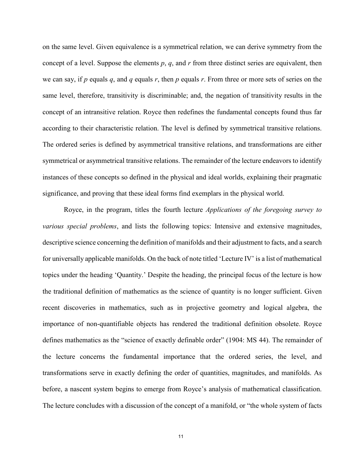on the same level. Given equivalence is a symmetrical relation, we can derive symmetry from the concept of a level. Suppose the elements *p*, *q*, and *r* from three distinct series are equivalent, then we can say, if *p* equals *q*, and *q* equals *r*, then *p* equals *r*. From three or more sets of series on the same level, therefore, transitivity is discriminable; and, the negation of transitivity results in the concept of an intransitive relation. Royce then redefines the fundamental concepts found thus far according to their characteristic relation. The level is defined by symmetrical transitive relations. The ordered series is defined by asymmetrical transitive relations, and transformations are either symmetrical or asymmetrical transitive relations. The remainder of the lecture endeavors to identify instances of these concepts so defined in the physical and ideal worlds, explaining their pragmatic significance, and proving that these ideal forms find exemplars in the physical world.

Royce, in the program, titles the fourth lecture *Applications of the foregoing survey to various special problems*, and lists the following topics: Intensive and extensive magnitudes, descriptive science concerning the definition of manifolds and their adjustment to facts, and a search for universally applicable manifolds. On the back of note titled 'Lecture IV' is a list of mathematical topics under the heading 'Quantity.' Despite the heading, the principal focus of the lecture is how the traditional definition of mathematics as the science of quantity is no longer sufficient. Given recent discoveries in mathematics, such as in projective geometry and logical algebra, the importance of non-quantifiable objects has rendered the traditional definition obsolete. Royce defines mathematics as the "science of exactly definable order" (1904: MS 44). The remainder of the lecture concerns the fundamental importance that the ordered series, the level, and transformations serve in exactly defining the order of quantities, magnitudes, and manifolds. As before, a nascent system begins to emerge from Royce's analysis of mathematical classification. The lecture concludes with a discussion of the concept of a manifold, or "the whole system of facts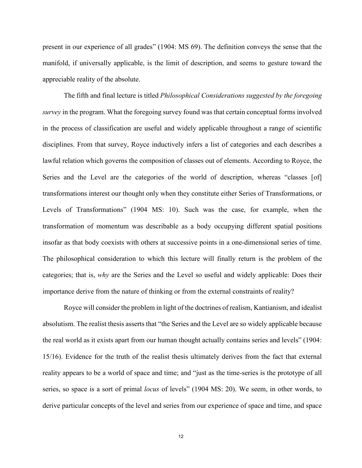present in our experience of all grades" (1904: MS 69). The definition conveys the sense that the manifold, if universally applicable, is the limit of description, and seems to gesture toward the appreciable reality of the absolute.

The fifth and final lecture is titled *Philosophical Considerations suggested by the foregoing survey* in the program. What the foregoing survey found was that certain conceptual forms involved in the process of classification are useful and widely applicable throughout a range of scientific disciplines. From that survey, Royce inductively infers a list of categories and each describes a lawful relation which governs the composition of classes out of elements. According to Royce, the Series and the Level are the categories of the world of description, whereas "classes [of] transformations interest our thought only when they constitute either Series of Transformations, or Levels of Transformations" (1904 MS: 10). Such was the case, for example, when the transformation of momentum was describable as a body occupying different spatial positions insofar as that body coexists with others at successive points in a one-dimensional series of time. The philosophical consideration to which this lecture will finally return is the problem of the categories; that is, *why* are the Series and the Level so useful and widely applicable: Does their importance derive from the nature of thinking or from the external constraints of reality?

Royce will consider the problem in light of the doctrines of realism, Kantianism, and idealist absolutism. The realist thesis asserts that "the Series and the Level are so widely applicable because the real world as it exists apart from our human thought actually contains series and levels" (1904: 15/16). Evidence for the truth of the realist thesis ultimately derives from the fact that external reality appears to be a world of space and time; and "just as the time-series is the prototype of all series, so space is a sort of primal *locus* of levels" (1904 MS: 20). We seem, in other words, to derive particular concepts of the level and series from our experience of space and time, and space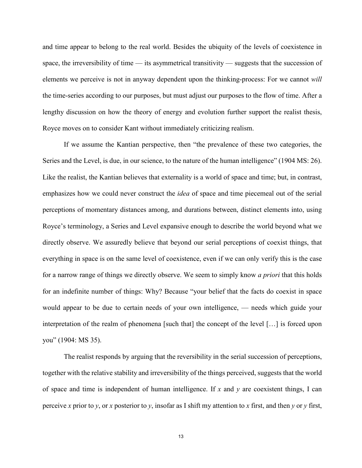and time appear to belong to the real world. Besides the ubiquity of the levels of coexistence in space, the irreversibility of time — its asymmetrical transitivity — suggests that the succession of elements we perceive is not in anyway dependent upon the thinking-process: For we cannot *will* the time-series according to our purposes, but must adjust our purposes to the flow of time. After a lengthy discussion on how the theory of energy and evolution further support the realist thesis, Royce moves on to consider Kant without immediately criticizing realism.

If we assume the Kantian perspective, then "the prevalence of these two categories, the Series and the Level, is due, in our science, to the nature of the human intelligence" (1904 MS: 26). Like the realist, the Kantian believes that externality is a world of space and time; but, in contrast, emphasizes how we could never construct the *idea* of space and time piecemeal out of the serial perceptions of momentary distances among, and durations between, distinct elements into, using Royce's terminology, a Series and Level expansive enough to describe the world beyond what we directly observe. We assuredly believe that beyond our serial perceptions of coexist things, that everything in space is on the same level of coexistence, even if we can only verify this is the case for a narrow range of things we directly observe. We seem to simply know *a priori* that this holds for an indefinite number of things: Why? Because "your belief that the facts do coexist in space would appear to be due to certain needs of your own intelligence, — needs which guide your interpretation of the realm of phenomena [such that] the concept of the level […] is forced upon you" (1904: MS 35).

The realist responds by arguing that the reversibility in the serial succession of perceptions, together with the relative stability and irreversibility of the things perceived, suggests that the world of space and time is independent of human intelligence. If  $x$  and  $y$  are coexistent things, I can perceive *x* prior to *y*, or *x* posterior to *y*, insofar as I shift my attention to *x* first, and then *y* or *y* first,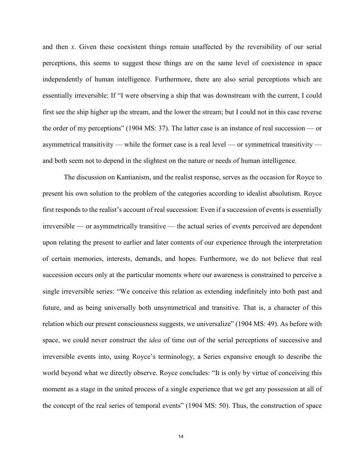and then *x*. Given these coexistent things remain unaffected by the reversibility of our serial perceptions, this seems to suggest these things are on the same level of coexistence in space independently of human intelligence. Furthermore, there are also serial perceptions which are essentially irreversible: If "I were observing a ship that was downstream with the current, I could first see the ship higher up the stream, and the lower the stream; but I could not in this case reverse the order of my perceptions" (1904 MS: 37). The latter case is an instance of real succession — or asymmetrical transitivity — while the former case is a real level — or symmetrical transitivity and both seem not to depend in the slightest on the nature or needs of human intelligence.

The discussion on Kantianism, and the realist response, serves as the occasion for Royce to present his own solution to the problem of the categories according to idealist absolutism. Royce first responds to the realist's account of real succession: Even if a succession of events is essentially irreversible — or asymmetrically transitive — the actual series of events perceived are dependent upon relating the present to earlier and later contents of our experience through the interpretation of certain memories, interests, demands, and hopes. Furthermore, we do not believe that real succession occurs only at the particular moments where our awareness is constrained to perceive a single irreversible series: "We conceive this relation as extending indefinitely into both past and future, and as being universally both unsymmetrical and transitive. That is, a character of this relation which our present consciousness suggests, we universalize" (1904 MS: 49). As before with space, we could never construct the *idea* of time out of the serial perceptions of successive and irreversible events into, using Royce's terminology, a Series expansive enough to describe the world beyond what we directly observe. Royce concludes: "It is only by virtue of conceiving this moment as a stage in the united process of a single experience that we get any possession at all of the concept of the real series of temporal events" (1904 MS: 50). Thus, the construction of space